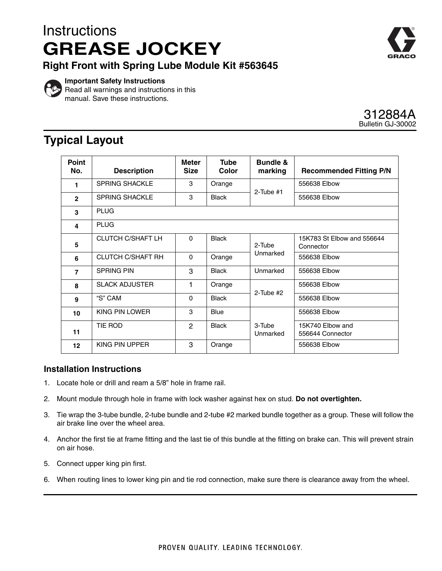# **Instructions GREASE JOCKEY**

**Right Front with Spring Lube Module Kit #563645**



**Important Safety Instructions** Read all warnings and instructions in this manual. Save these instructions.

### 312884A Bulletin GJ-30002

## **Typical Layout**

| <b>Point</b><br>No. | <b>Description</b>       | Meter<br><b>Size</b> | <b>Tube</b><br>Color | <b>Bundle &amp;</b><br>marking | <b>Recommended Fitting P/N</b>          |
|---------------------|--------------------------|----------------------|----------------------|--------------------------------|-----------------------------------------|
| 1                   | <b>SPRING SHACKLE</b>    | 3                    | Orange               | $2$ -Tube #1                   | 556638 Elbow                            |
| $\mathbf{2}$        | <b>SPRING SHACKLE</b>    | 3                    | <b>Black</b>         |                                | 556638 Elbow                            |
| 3                   | <b>PLUG</b>              |                      |                      |                                |                                         |
| 4                   | <b>PLUG</b>              |                      |                      |                                |                                         |
| 5                   | <b>CLUTCH C/SHAFT LH</b> | $\Omega$             | <b>Black</b>         | $2-Tube$<br>Unmarked           | 15K783 St Elbow and 556644<br>Connector |
| 6                   | <b>CLUTCH C/SHAFT RH</b> | $\Omega$             | Orange               |                                | 556638 Elbow                            |
| $\overline{7}$      | <b>SPRING PIN</b>        | 3                    | <b>Black</b>         | Unmarked                       | 556638 Elbow                            |
| 8                   | <b>SLACK ADJUSTER</b>    | 1                    | Orange               | $2$ -Tube #2                   | 556638 Elbow                            |
| 9                   | "S" CAM                  | $\Omega$             | <b>Black</b>         |                                | 556638 Elbow                            |
| 10                  | KING PIN LOWER           | 3                    | <b>Blue</b>          |                                | 556638 Elbow                            |
| 11                  | TIE ROD                  | 2                    | <b>Black</b>         | 3-Tube<br>Unmarked             | 15K740 Elbow and<br>556644 Connector    |
| 12                  | KING PIN UPPER           | 3                    | Orange               |                                | 556638 Elbow                            |

### **Installation Instructions**

- 1. Locate hole or drill and ream a 5/8" hole in frame rail.
- 2. Mount module through hole in frame with lock washer against hex on stud. **Do not overtighten.**
- 3. Tie wrap the 3-tube bundle, 2-tube bundle and 2-tube #2 marked bundle together as a group. These will follow the air brake line over the wheel area.
- 4. Anchor the first tie at frame fitting and the last tie of this bundle at the fitting on brake can. This will prevent strain on air hose.
- 5. Connect upper king pin first.
- 6. When routing lines to lower king pin and tie rod connection, make sure there is clearance away from the wheel.